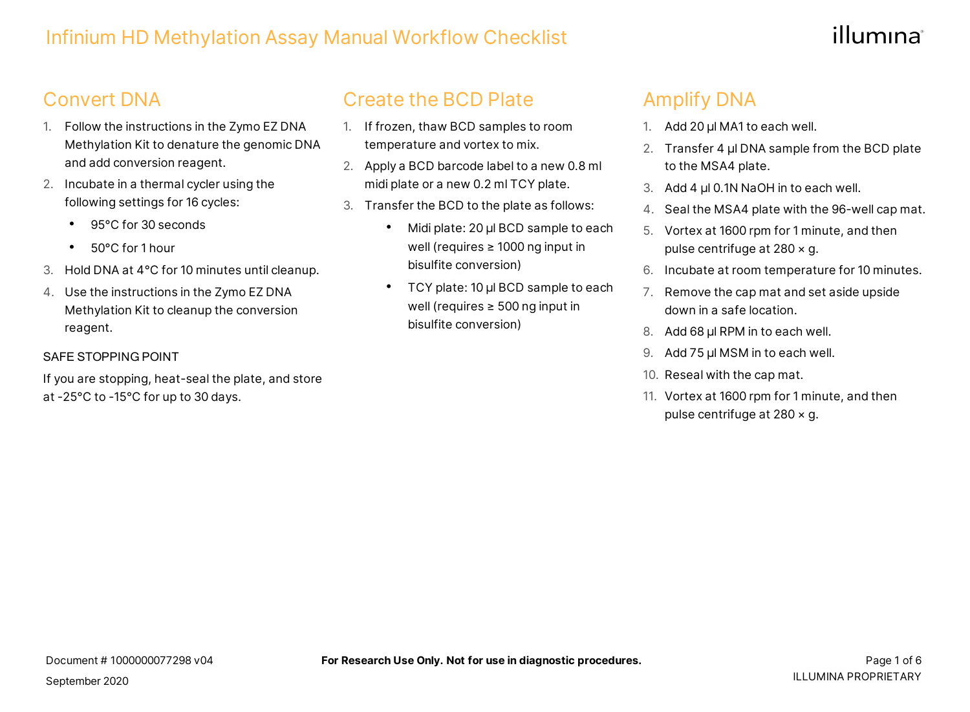# illumına

# Convert DNA

- 1. Follow the instructions in the Zymo EZ DNA Methylation Kit to denature the genomic DNA and add conversion reagent.
- 2. Incubate in a thermal cycler using the following settings for 16 cycles:
	- 95°C for 30 seconds
	- 50°C for 1 hour
- 3. Hold DNA at 4°C for 10 minutes until cleanup.
- 4. Use the instructions in the Zymo EZ DNA Methylation Kit to cleanup the conversion reagent.

#### SAFE STOPPING POINT

If you are stopping, heat-seal the plate, and store at -25°C to -15°C for up to 30 days.

## Create the BCD Plate

- 1. If frozen, thaw BCD samples to room temperature and vortex to mix.
- 2. Apply a BCD barcode label to a new 0.8 ml midi plate or a new 0.2 ml TCY plate.
- 3. Transfer the BCD to the plate as follows:
	- Midi plate: 20 µl BCD sample to each well (requires ≥ 1000 ng input in bisulfite conversion)
	- TCY plate: 10 µl BCD sample to each well (requires ≥ 500 ng input in bisulfite conversion)

# Amplify DNA

- 1. Add 20 µl MA1 to each well.
- 2. Transfer 4 µl DNA sample from the BCD plate to the MSA4 plate.
- 3. Add 4 µl 0.1N NaOH in to each well.
- 4. Seal the MSA4 plate with the 96-well cap mat.
- 5. Vortex at 1600 rpm for 1 minute, and then pulse centrifuge at 280 × g.
- 6. Incubate at room temperature for 10 minutes.
- 7. Remove the cap mat and set aside upside down in a safe location.
- 8. Add 68 μl RPM in to each well.
- 9. Add 75 μl MSM in to each well.
- 10. Reseal with the cap mat.
- 11. Vortex at 1600 rpm for 1 minute, and then pulse centrifuge at 280 × g.

September 2020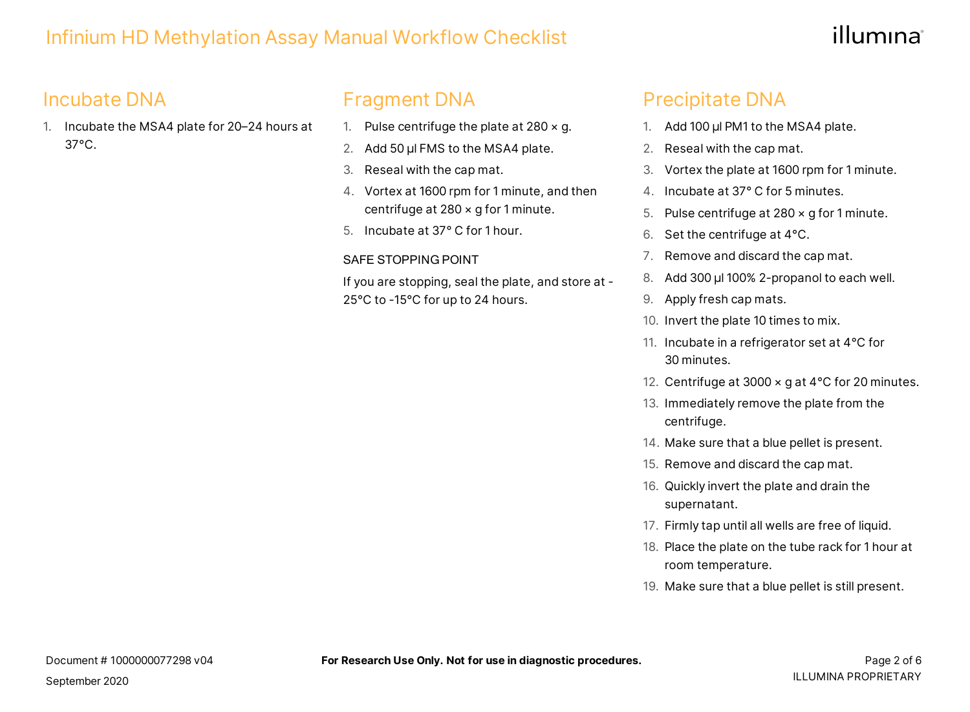# illumına

# Incubate DNA

1. Incubate the MSA4 plate for 20–24 hours at 37°C.

# Fragment DNA

- 1. Pulse centrifuge the plate at  $280 \times g$ .
- 2. Add 50 μl FMS to the MSA4 plate.
- 3. Reseal with the cap mat.
- 4. Vortex at 1600 rpm for 1 minute, and then centrifuge at 280 × g for 1 minute.
- 5. Incubate at 37° C for 1 hour.

#### SAFE STOPPING POINT

If you are stopping, seal the plate, and store at - 25°C to -15°C for up to 24 hours.

### Precipitate DNA

- 1. Add 100 μl PM1 to the MSA4 plate.
- 2. Reseal with the cap mat.
- 3. Vortex the plate at 1600 rpm for 1 minute.
- 4. Incubate at 37° C for 5 minutes.
- 5. Pulse centrifuge at 280 × g for 1 minute.
- 6. Set the centrifuge at 4°C.
- 7. Remove and discard the cap mat.
- 8. Add 300 μl 100% 2-propanol to each well.
- 9. Apply fresh cap mats.
- 10. Invert the plate 10 times to mix.
- 11. Incubate in a refrigerator set at 4°C for 30 minutes.
- 12. Centrifuge at 3000 x g at 4°C for 20 minutes.
- 13. Immediately remove the plate from the centrifuge.
- 14. Make sure that a blue pellet is present.
- 15. Remove and discard the cap mat.
- 16. Quickly invert the plate and drain the supernatant.
- 17. Firmly tap until all wells are free of liquid.
- 18. Place the plate on the tube rack for 1 hour at room temperature.
- 19. Make sure that a blue pellet is still present.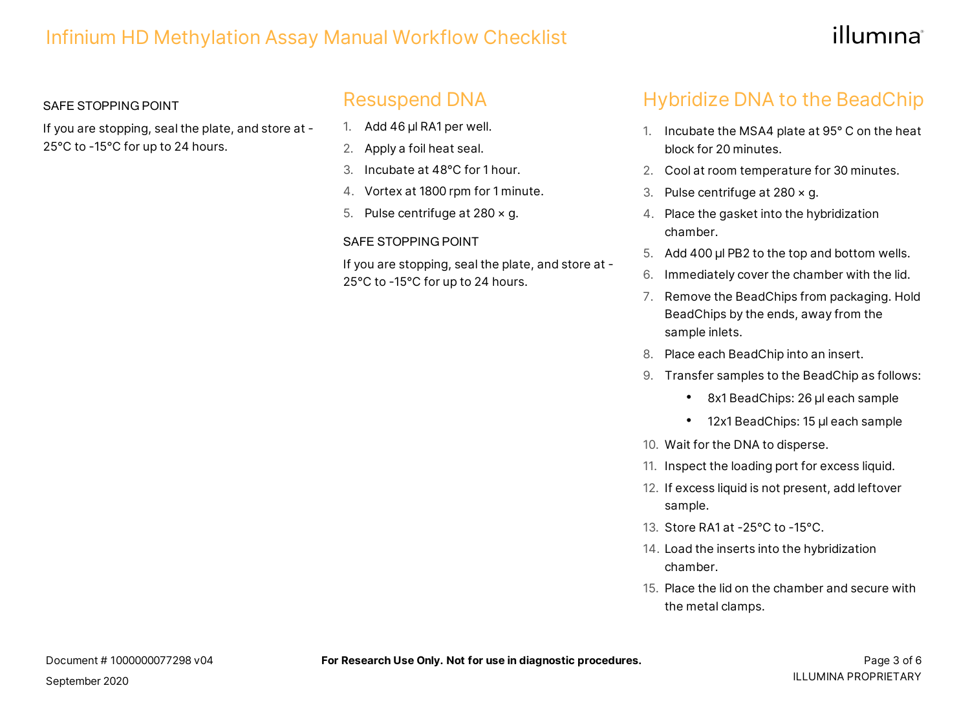# illumına

#### SAFE STOPPING POINT

If you are stopping, seal the plate, and store at - 25°C to -15°C for up to 24 hours.

### Resuspend DNA

- 1. Add 46 µl RA1 per well.
- 2. Apply a foil heat seal.
- 3. Incubate at 48°C for 1 hour.
- 4. Vortex at 1800 rpm for 1 minute.
- 5. Pulse centrifuge at 280 × g.

#### SAFE STOPPING POINT

If you are stopping, seal the plate, and store at - 25°C to -15°C for up to 24 hours.

# Hybridize DNA to the BeadChip

- 1. Incubate the MSA4 plate at 95° C on the heat block for 20 minutes.
- 2. Cool at room temperature for 30 minutes.
- 3. Pulse centrifuge at  $280 \times g$ .
- 4. Place the gasket into the hybridization chamber.
- 5. Add 400 µl PB2 to the top and bottom wells.
- 6. Immediately cover the chamber with the lid.
- 7. Remove the BeadChips from packaging. Hold BeadChips by the ends, away from the sample inlets.
- 8. Place each BeadChip into an insert.
- 9. Transfer samples to the BeadChip as follows:
	- 8x1 BeadChips: 26 µl each sample
	- 12x1 BeadChips: 15 µl each sample
- 10. Wait for the DNA to disperse.
- 11. Inspect the loading port for excess liquid.
- 12. If excess liquid is not present, add leftover sample.
- 13. Store RA1 at -25°C to -15°C.
- 14. Load the inserts into the hybridization chamber.
- 15. Place the lid on the chamber and secure with the metal clamps.

September 2020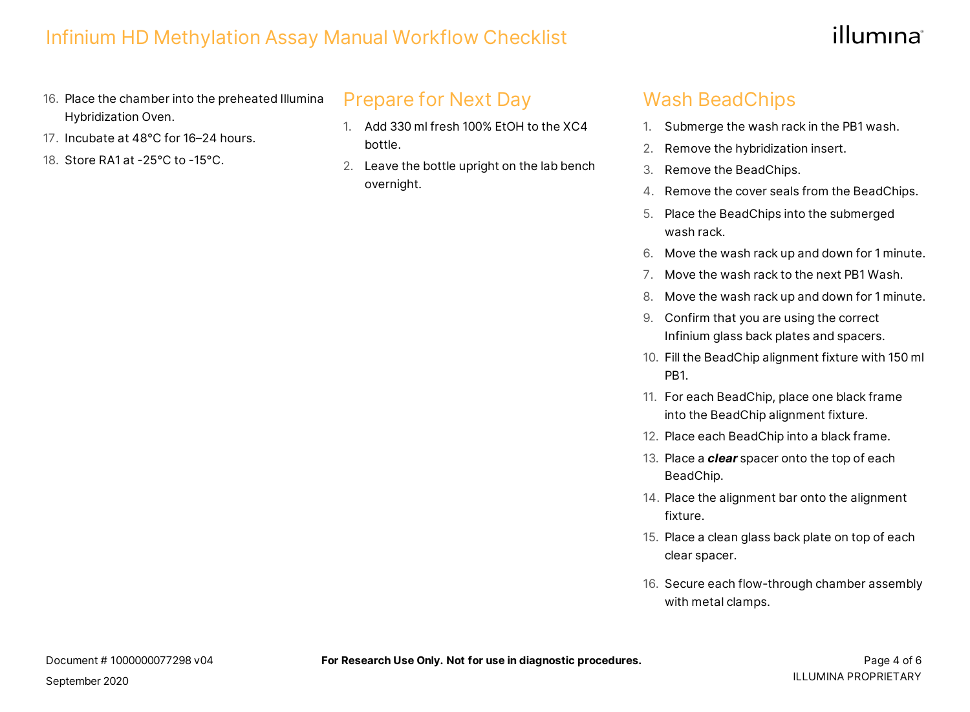# illumına

- 16. Place the chamber into the preheated Illumina Hybridization Oven.
- 17. Incubate at 48°C for 16–24 hours.
- 18. Store RA1 at -25°C to -15°C.

Prepare for Next Day

- 1. Add 330 ml fresh 100% EtOH to the XC4 bottle.
- 2. Leave the bottle upright on the lab bench overnight.

### Wash BeadChips

- 1. Submerge the wash rack in the PB1 wash.
- 2. Remove the hybridization insert.
- 3. Remove the BeadChips.
- 4. Remove the cover seals from the BeadChips.
- 5. Place the BeadChips into the submerged wash rack.
- 6. Move the wash rack up and down for 1 minute.
- 7. Move the wash rack to the next PB1 Wash.
- 8. Move the wash rack up and down for 1 minute.
- 9. Confirm that you are using the correct Infinium glass back plates and spacers.
- 10. Fill the BeadChip alignment fixture with 150 ml PB1.
- 11. For each BeadChip, place one black frame into the BeadChip alignment fixture.
- 12. Place each BeadChip into a black frame.
- 13. Place a *clear* spacer onto the top of each BeadChip.
- 14. Place the alignment bar onto the alignment fixture.
- 15. Place a clean glass back plate on top of each clear spacer.
- 16. Secure each flow-through chamber assembly with metal clamps.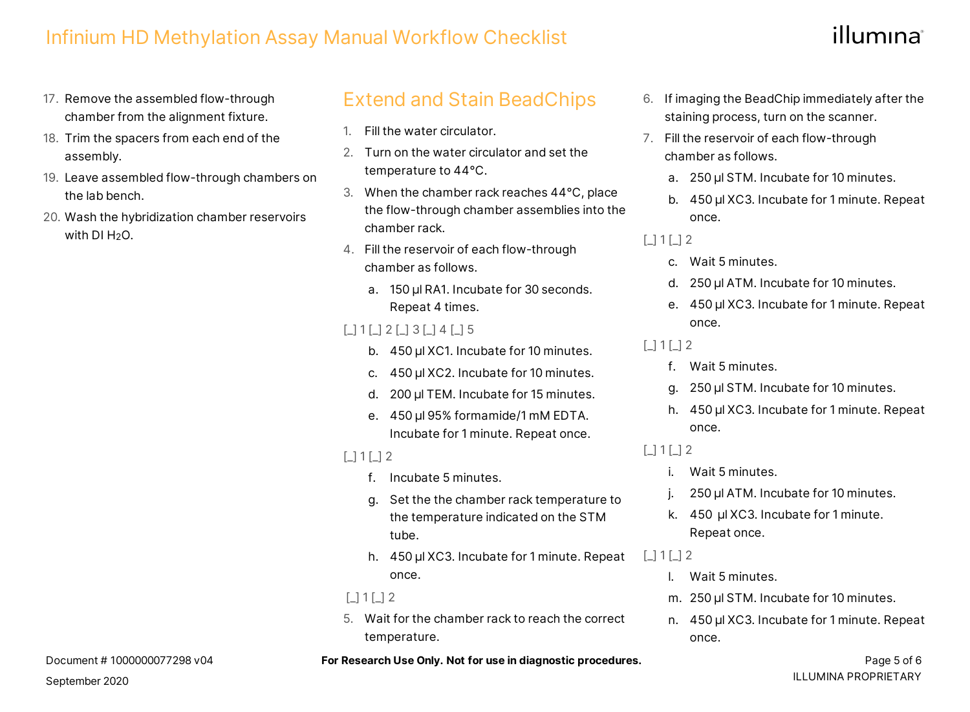# illumına

- 17. Remove the assembled flow-through chamber from the alignment fixture.
- 18. Trim the spacers from each end of the assembly.
- 19. Leave assembled flow-through chambers on the lab bench.
- 20. Wash the hybridization chamber reservoirs with DI H2O.

### Extend and Stain BeadChips

- 1. Fill the water circulator.
- 2. Turn on the water circulator and set the temperature to 44°C.
- 3. When the chamber rack reaches 44°C, place the flow-through chamber assemblies into the chamber rack.
- 4. Fill the reservoir of each flow-through chamber as follows.
	- a. 150 µl RA1. Incubate for 30 seconds. Repeat 4 times.

### [\_] 1 [\_] 2 [\_] 3 [\_] 4 [\_] 5

- b. 450 µl XC1. Incubate for 10 minutes.
- c. 450 µl XC2. Incubate for 10 minutes.
- d. 200 µl TEM. Incubate for 15 minutes.
- e. 450 µl 95% formamide/1 mM EDTA. Incubate for 1 minute. Repeat once.

 $\lceil$  1  $\lceil$  1  $\lceil$  2

- f. Incubate 5 minutes.
- g. Set the the chamber rack temperature to the temperature indicated on the STM tube.
- h. 450 µl XC3. Incubate for 1 minute. Repeat once.

#### $\lceil$  1  $\lceil$  1  $\lceil$  2

5. Wait for the chamber rack to reach the correct temperature.

- 6. If imaging the BeadChip immediately after the staining process, turn on the scanner.
- 7. Fill the reservoir of each flow-through chamber as follows.
	- a. 250 µl STM. Incubate for 10 minutes.
	- b. 450 µl XC3. Incubate for 1 minute. Repeat once.

### $\Box$  1  $\Box$  2

- c. Wait 5 minutes.
- d. 250 µl ATM. Incubate for 10 minutes.
- e. 450 µl XC3. Incubate for 1 minute. Repeat once.

### $[$ [] 1  $[$   $]$  2

- f. Wait 5 minutes.
- g. 250 µl STM. Incubate for 10 minutes.
- h. 450 µl XC3. Incubate for 1 minute. Repeat once.

### $\lceil$  1  $\lceil$  1  $\lceil$  2

- i. Wait 5 minutes.
- 250 µl ATM. Incubate for 10 minutes.
- k. 450 µl XC3. Incubate for 1 minute. Repeat once.
- $\Box$  1  $\Box$  2
	- l. Wait 5 minutes.
	- m. 250 µl STM. Incubate for 10 minutes.
	- n. 450 µl XC3. Incubate for 1 minute. Repeat once.

#### **For Research Use Only. Not for use in diagnostic procedures.** The example of the same page 5 of 6

Document # 1000000077298 v04